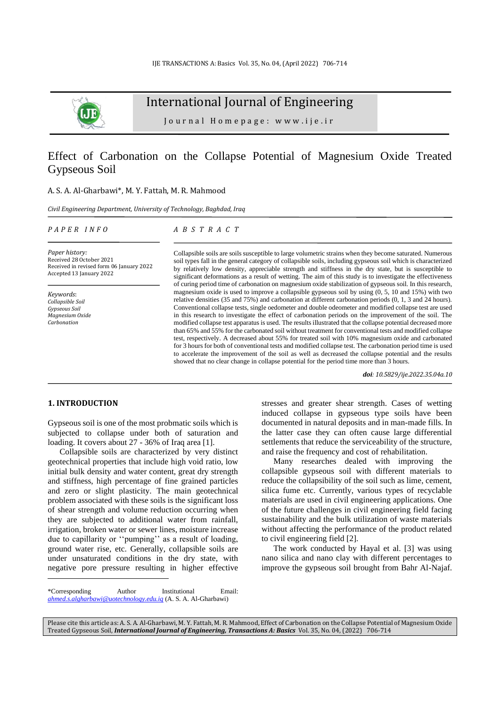

International Journal of Engineering

J o u r n a l H o m e p a g e : w w w . i j e . i r

# Effect of Carbonation on the Collapse Potential of Magnesium Oxide Treated Gypseous Soil

## A. S. A. Al-Gharbawi\*, M. Y. Fattah, M. R. Mahmood

*Civil Engineering Department, University of Technology, Baghdad, Iraq*

#### *P A P E R I N F O*

*A B S T R A C T*

*Paper history:* Received 28 October 2021 Received in revised form 06 January 2022 Accepted 13 January 2022

*Keywords*: *Collapsible Soil Gypseous Soil Magnesium Oxide Carbonation*

Collapsible soils are soils susceptible to large volumetric strains when they become saturated. Numerous soil types fall in the general category of collapsible soils, including gypseous soil which is characterized by relatively low density, appreciable strength and stiffness in the dry state, but is susceptible to significant deformations as a result of wetting. The aim of this study is to investigate the effectiveness of curing period time of carbonation on magnesium oxide stabilization of gypseous soil. In this research, magnesium oxide is used to improve a collapsible gypseous soil by using  $(0, 5, 10, 10, 15)$  with two relative densities (35 and 75%) and carbonation at different carbonation periods (0, 1, 3 and 24 hours). Conventional collapse tests, single oedometer and double odeometer and modified collapse test are used in this research to investigate the effect of carbonation periods on the improvement of the soil. The modified collapse test apparatus is used. The results illustrated that the collapse potential decreased more than 65% and 55% for the carbonated soil without treatment for conventional tests and modified collapse test, respectively. A decreased about 55% for treated soil with 10% magnesium oxide and carbonated for 3 hours for both of conventional tests and modified collapse test. The carbonation period time is used to accelerate the improvement of the soil as well as decreased the collapse potential and the results showed that no clear change in collapse potential for the period time more than 3 hours.

*doi: 10.5829/ije.2022.35.04a.10*

## **1. INTRODUCTION<sup>1</sup>**

Gypseous soil is one of the most probmatic soils which is subjected to collapse under both of saturation and loading. It covers about 27 - 36% of Iraq area [\[1\]](#page-7-0).

Collapsible soils are characterized by very distinct geotechnical properties that include high void ratio, low initial bulk density and water content, great dry strength and stiffness, high percentage of fine grained particles and zero or slight plasticity. The main geotechnical problem associated with these soils is the significant loss of shear strength and volume reduction occurring when they are subjected to additional water from rainfall, irrigation, broken water or sewer lines, moisture increase due to capillarity or ''pumping'' as a result of loading, ground water rise, etc. Generally, collapsible soils are under unsaturated conditions in the dry state, with negative pore pressure resulting in higher effective

stresses and greater shear strength. Cases of wetting induced collapse in gypseous type soils have been documented in natural deposits and in man-made fills. In the latter case they can often cause large differential settlements that reduce the serviceability of the structure, and raise the frequency and cost of rehabilitation. Many researches dealed with improving the

collapsible gypseous soil with different materials to reduce the collapsibility of the soil such as lime, cement, silica fume etc. Currently, various types of recyclable materials are used in civil engineering applications. One of the future challenges in civil engineering field facing sustainability and the bulk utilization of waste materials without affecting the performance of the product related to civil engineering field [\[2\]](#page-7-1).

The work conducted by Hayal et al. [\[3\]](#page-7-2) was using nano silica and nano clay with different percentages to improve the gypseous soil brought from Bahr Al-Najaf.

<sup>\*</sup>Corresponding Author Institutional Email: *ahmed.s.algharbawi@uotechnology.edu.iq* (A. S. A. Al-Gharbawi)

Please cite this article as: A. S. A. Al-Gharbawi, M. Y. Fattah, M. R. Mahmood, Effect of Carbonation on the Collapse Potential of Magnesium Oxide Treated Gypseous Soil, *International Journal of Engineering, Transactions A: Basics* Vol. 35, No. 04, (2022) 706-714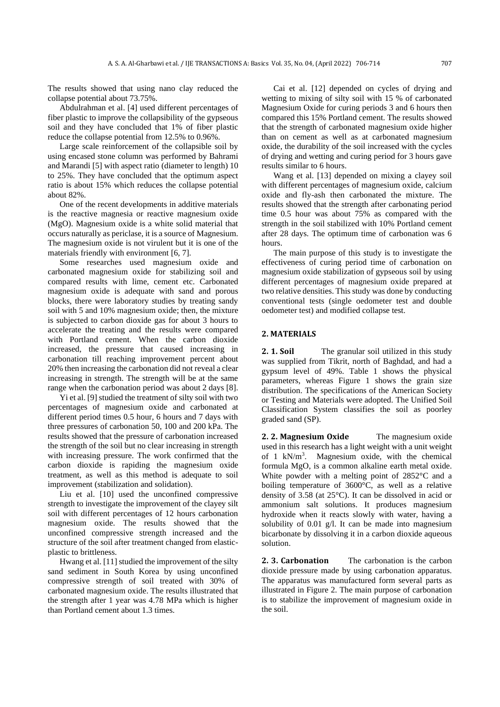The results showed that using nano clay reduced the collapse potential about 73.75%.

Abdulrahman et al. [\[4\]](#page-7-3) used different percentages of fiber plastic to improve the collapsibility of the gypseous soil and they have concluded that 1% of fiber plastic reduce the collapse potential from 12.5% to 0.96%.

Large scale reinforcement of the collapsible soil by using encased stone column was performed by Bahrami and Marandi [\[5\]](#page-7-4) with aspect ratio (diameter to length) 10 to 25%. They have concluded that the optimum aspect ratio is about 15% which reduces the collapse potential about 82%.

One of the recent developments in additive materials is the reactive magnesia or reactive magnesium oxide (MgO). Magnesium oxide is a white solid material that occurs naturally as periclase, it is a source of Magnesium. The magnesium oxide is not virulent but it is one of the materials friendly with environment [\[6,](#page-7-5) [7\]](#page-7-6).

Some researches used magnesium oxide and carbonated magnesium oxide for stabilizing soil and compared results with lime, cement etc. Carbonated magnesium oxide is adequate with sand and porous blocks, there were laboratory studies by treating sandy soil with 5 and 10% magnesium oxide; then, the mixture is subjected to carbon dioxide gas for about 3 hours to accelerate the treating and the results were compared with Portland cement. When the carbon dioxide increased, the pressure that caused increasing in carbonation till reaching improvement percent about 20% then increasing the carbonation did not reveal a clear increasing in strength. The strength will be at the same range when the carbonation period was about 2 days [\[8\]](#page-7-7).

Yi et al. [\[9\]](#page-7-8) studied the treatment of silty soil with two percentages of magnesium oxide and carbonated at different period times 0.5 hour, 6 hours and 7 days with three pressures of carbonation 50, 100 and 200 kPa. The results showed that the pressure of carbonation increased the strength of the soil but no clear increasing in strength with increasing pressure. The work confirmed that the carbon dioxide is rapiding the magnesium oxide treatment, as well as this method is adequate to soil improvement (stabilization and solidation).

Liu et al. [\[10\]](#page-7-9) used the unconfined compressive strength to investigate the improvement of the clayey silt soil with different percentages of 12 hours carbonation magnesium oxide. The results showed that the unconfined compressive strength increased and the structure of the soil after treatment changed from elasticplastic to brittleness.

Hwang et al. [\[11\]](#page-7-10) studied the improvement of the silty sand sediment in South Korea by using unconfined compressive strength of soil treated with 30% of carbonated magnesium oxide. The results illustrated that the strength after 1 year was 4.78 MPa which is higher than Portland cement about 1.3 times.

Cai et al. [\[12\]](#page-7-11) depended on cycles of drying and wetting to mixing of silty soil with 15 % of carbonated Magnesium Oxide for curing periods 3 and 6 hours then compared this 15% Portland cement. The results showed that the strength of carbonated magnesium oxide higher than on cement as well as at carbonated magnesium oxide, the durability of the soil increased with the cycles of drying and wetting and curing period for 3 hours gave results similar to 6 hours.

Wang et al. [\[13\]](#page-7-12) depended on mixing a clayey soil with different percentages of magnesium oxide, calcium oxide and fly-ash then carbonated the mixture. The results showed that the strength after carbonating period time 0.5 hour was about 75% as compared with the strength in the soil stabilized with 10% Portland cement after 28 days. The optimum time of carbonation was 6 hours.

The main purpose of this study is to investigate the effectiveness of curing period time of carbonation on magnesium oxide stabilization of gypseous soil by using different percentages of magnesium oxide prepared at two relative densities. This study was done by conducting conventional tests (single oedometer test and double oedometer test) and modified collapse test.

#### **2. MATERIALS**

**2. 1. Soil** The granular soil utilized in this study was supplied from Tikrit, north of Baghdad, and had a gypsum level of 49%. Table 1 shows the physical parameters, whereas Figure 1 shows the grain size distribution. The specifications of the American Society or Testing and Materials were adopted. The Unified Soil Classification System classifies the soil as poorley graded sand (SP).

**2. 2. Magnesium Oxide** The magnesium oxide used in this research has a light weight with a unit weight of 1 kN/m<sup>3</sup> . Magnesium oxide, with the chemical formula MgO, is a common alkaline earth metal oxide. White powder with a melting point of 2852°C and a boiling temperature of 3600°C, as well as a relative density of 3.58 (at 25°C). It can be dissolved in acid or ammonium salt solutions. It produces magnesium hydroxide when it reacts slowly with water, having a solubility of 0.01 g/l. It can be made into magnesium bicarbonate by dissolving it in a carbon dioxide aqueous solution.

**2. 3. Carbonation** The carbonation is the carbon dioxide pressure made by using carbonation apparatus. The apparatus was manufactured form several parts as illustrated in Figure 2. The main purpose of carbonation is to stabilize the improvement of magnesium oxide in the soil.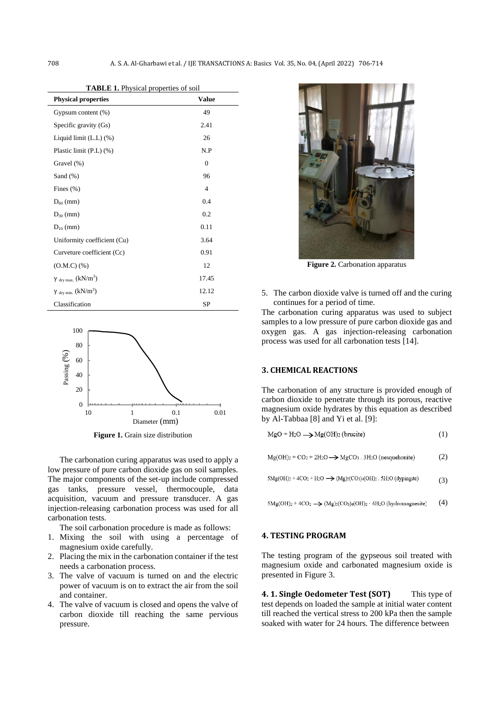**TABLE 1.** Physical properties of soil

| <b>Physical properties</b>             | <b>Value</b>   |
|----------------------------------------|----------------|
| Gypsum content (%)                     | 49             |
| Specific gravity (Gs)                  | 2.41           |
| Liquid limit $(L.L)$ $(\%)$            | 26             |
| Plastic limit (P.L) (%)                | N.P            |
| Gravel (%)                             | $\theta$       |
| Sand $(\%)$                            | 96             |
| Fines $(\% )$                          | $\overline{4}$ |
| $D_{60}$ (mm)                          | 0.4            |
| $D_{30}$ (mm)                          | 0.2            |
| $D_{10}$ (mm)                          | 0.11           |
| Uniformity coefficient (Cu)            | 3.64           |
| Curveture coefficient (Cc)             | 0.91           |
| $(O.M.C)$ (%)                          | 12             |
| $\gamma$ $_{\rm dry\,max.}$ $(kN/m^3)$ | 17.45          |
| $\gamma$ $_{\rm dry\ min.}$ $(kN/m^3)$ | 12.12          |
| Classification                         | <b>SP</b>      |



**Figure 1.** Grain size distribution

The carbonation curing apparatus was used to apply a low pressure of pure carbon dioxide gas on soil samples. The major components of the set-up include compressed gas tanks, pressure vessel, thermocouple, data acquisition, vacuum and pressure transducer. A gas injection-releasing carbonation process was used for all carbonation tests.

The soil carbonation procedure is made as follows:

- 1. Mixing the soil with using a percentage of magnesium oxide carefully.
- 2. Placing the mix in the carbonation container if the test needs a carbonation process.
- 3. The valve of vacuum is turned on and the electric power of vacuum is on to extract the air from the soil and container.
- 4. The valve of vacuum is closed and opens the valve of carbon dioxide till reaching the same pervious pressure.



**Figure 2.** Carbonation apparatus

5. The carbon dioxide valve is turned off and the curing continues for a period of time.

The carbonation curing apparatus was used to subject samples to a low pressure of pure carbon dioxide gas and oxygen gas. A gas injection-releasing carbonation process was used for all carbonation tests [\[14\]](#page-7-13).

#### **3. CHEMICAL REACTIONS**

The carbonation of any structure is provided enough of carbon dioxide to penetrate through its porous, reactive magnesium oxide hydrates by this equation as described by Al-Tabbaa [\[8\]](#page-7-7) and Yi et al. [\[9\]](#page-7-8):

 $Mg(OH)2 + CO_2 + 2H_2O \rightarrow MgCO_3$ . 3H<sub>2</sub>O (nesquehonite) (2)

 $5Mg(OH)2 + 4CO_2 + H_2O \rightarrow (Mg)5(CO_3)(OH)2$ . 5H<sub>2</sub>O (dypingite) (3)

 $5Mg(OH)_{2} + 4CO_{2} \longrightarrow (Mg)_{5}(CO_{3})_{4}(OH)_{2} \cdot 4H_{2}O (hydromagnesite)$ (4)

### **4. TESTING PROGRAM**

The testing program of the gypseous soil treated with magnesium oxide and carbonated magnesium oxide is presented in Figure 3.

**4. 1. Single Oedometer Test (SOT)** This type of test depends on loaded the sample at initial water content till reached the vertical stress to 200 kPa then the sample soaked with water for 24 hours. The difference between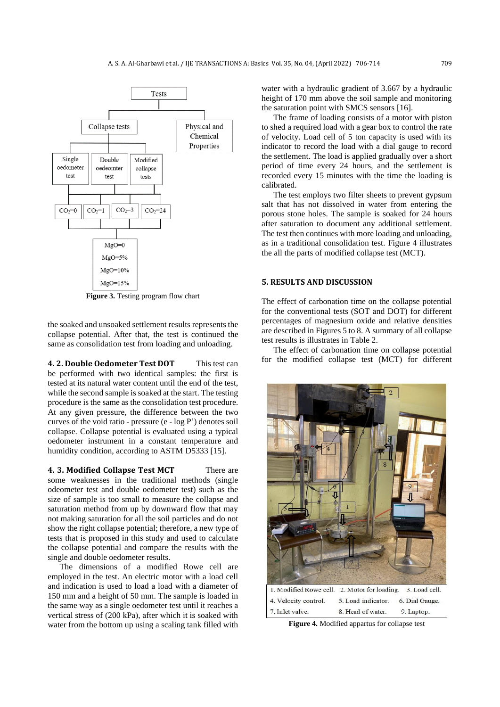

**Figure 3.** Testing program flow chart

the soaked and unsoaked settlement results represents the collapse potential. After that, the test is continued the same as consolidation test from loading and unloading.

**4. 2. Double Oedometer Test DOT** This test can be performed with two identical samples: the first is tested at its natural water content until the end of the test, while the second sample is soaked at the start. The testing procedure is the same as the consolidation test procedure. At any given pressure, the difference between the two curves of the void ratio - pressure (e - log P') denotes soil collapse. Collapse potential is evaluated using a typical oedometer instrument in a constant temperature and humidity condition, according to ASTM D5333 [\[15\]](#page-7-14).

**4. 3. Modified Collapse Test MCT** There are some weaknesses in the traditional methods (single odeometer test and double oedometer test) such as the size of sample is too small to measure the collapse and saturation method from up by downward flow that may not making saturation for all the soil particles and do not show the right collapse potential; therefore, a new type of tests that is proposed in this study and used to calculate the collapse potential and compare the results with the single and double oedometer results.

The dimensions of a modified Rowe cell are employed in the test. An electric motor with a load cell and indication is used to load a load with a diameter of 150 mm and a height of 50 mm. The sample is loaded in the same way as a single oedometer test until it reaches a vertical stress of (200 kPa), after which it is soaked with water from the bottom up using a scaling tank filled with water with a hydraulic gradient of 3.667 by a hydraulic height of 170 mm above the soil sample and monitoring the saturation point with SMCS sensors [\[16\]](#page-7-15).

The frame of loading consists of a motor with piston to shed a required load with a gear box to control the rate of velocity. Load cell of 5 ton capacity is used with its indicator to record the load with a dial gauge to record the settlement. The load is applied gradually over a short period of time every 24 hours, and the settlement is recorded every 15 minutes with the time the loading is calibrated.

The test employs two filter sheets to prevent gypsum salt that has not dissolved in water from entering the porous stone holes. The sample is soaked for 24 hours after saturation to document any additional settlement. The test then continues with more loading and unloading, as in a traditional consolidation test. Figure 4 illustrates the all the parts of modified collapse test (MCT).

## **5. RESULTS AND DISCUSSION**

The effect of carbonation time on the collapse potential for the conventional tests (SOT and DOT) for different percentages of magnesium oxide and relative densities are described in Figures 5 to 8. A summary of all collapse test results is illustrates in Table 2.

The effect of carbonation time on collapse potential for the modified collapse test (MCT) for different



**Figure 4.** Modified appartus for collapse test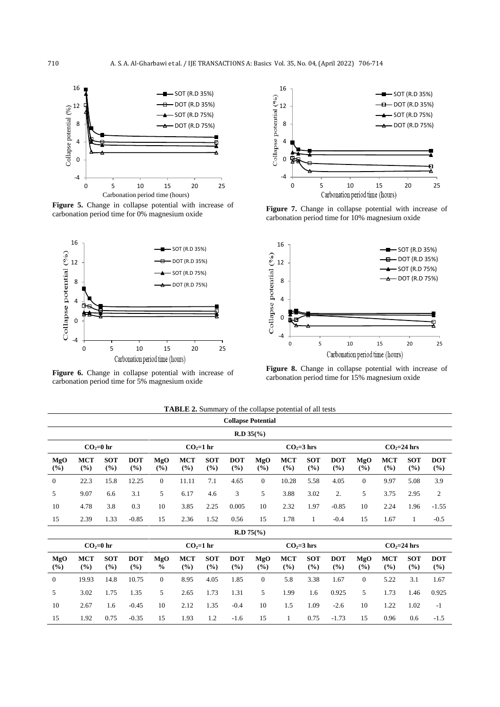

**Figure 5.** Change in collapse potential with increase of carbonation period time for 0% magnesium oxide



**Figure 6.** Change in collapse potential with increase of carbonation period time for 5% magnesium oxide



Figure 7. Change in collapse potential with increase of carbonation period time for 10% magnesium oxide



**Figure 8.** Change in collapse potential with increase of carbonation period time for 15% magnesium oxide

|               | <b>Collapse Potential</b> |                   |                      |                      |                   |                   |                   |              |                   |                   |                   |                |                   |                   |                   |  |
|---------------|---------------------------|-------------------|----------------------|----------------------|-------------------|-------------------|-------------------|--------------|-------------------|-------------------|-------------------|----------------|-------------------|-------------------|-------------------|--|
|               | $R.D 35(*)$               |                   |                      |                      |                   |                   |                   |              |                   |                   |                   |                |                   |                   |                   |  |
|               |                           | $CO2=0$ hr        |                      | $CO2=1$ hr           |                   |                   |                   | $CO2=3$ hrs  |                   |                   |                   | $CO2=24$ hrs   |                   |                   |                   |  |
| MgO<br>(%)    | <b>MCT</b><br>(9/0)       | <b>SOT</b><br>(%) | <b>DOT</b><br>(%)    | MgO<br>(%)           | <b>MCT</b><br>(%) | <b>SOT</b><br>(%) | <b>DOT</b><br>(%) | MgO<br>(%)   | <b>MCT</b><br>(%) | <b>SOT</b><br>(%) | <b>DOT</b><br>(%) | MgO<br>$($ %)  | <b>MCT</b><br>(%) | <b>SOT</b><br>(%) | <b>DOT</b><br>(%) |  |
| $\mathbf{0}$  | 22.3                      | 15.8              | 12.25                | $\overline{0}$       | 11.11             | 7.1               | 4.65              | $\mathbf{0}$ | 10.28             | 5.58              | 4.05              | $\overline{0}$ | 9.97              | 5.08              | 3.9               |  |
| 5             | 9.07                      | 6.6               | 3.1                  | 5                    | 6.17              | 4.6               | 3                 | 5            | 3.88              | 3.02              | 2.                | 5              | 3.75              | 2.95              | $\boldsymbol{2}$  |  |
| 10            | 4.78                      | 3.8               | 0.3                  | 10                   | 3.85              | 2.25              | 0.005             | 10           | 2.32              | 1.97              | $-0.85$           | 10             | 2.24              | 1.96              | $-1.55$           |  |
| 15            | 2.39                      | 1.33              | $-0.85$              | 15                   | 2.36              | 1.52              | 0.56              | 15           | 1.78              | $\mathbf{1}$      | $-0.4$            | 15             | 1.67              | 1                 | $-0.5$            |  |
|               |                           |                   |                      |                      |                   |                   |                   | $R.D 75$ (%) |                   |                   |                   |                |                   |                   |                   |  |
| $CO2=0$ hr    |                           |                   |                      |                      |                   | $CO2=1$ hr        |                   | $CO2=3$ hrs  |                   |                   |                   |                | $CO2=24$ hrs      |                   |                   |  |
| MgO<br>$($ %) | <b>MCT</b><br>(%)         | <b>SOT</b><br>(%) | <b>DOT</b><br>$($ %) | MgO<br>$\frac{0}{0}$ | <b>MCT</b><br>(%) | <b>SOT</b><br>(%) | <b>DOT</b><br>(%) | MgO<br>(%)   | <b>MCT</b><br>(%) | <b>SOT</b><br>(%) | <b>DOT</b><br>(%) | MgO<br>$($ %)  | <b>MCT</b><br>(%) | <b>SOT</b><br>(%) | <b>DOT</b><br>(%) |  |
| $\mathbf{0}$  | 19.93                     | 14.8              | 10.75                | $\theta$             | 8.95              | 4.05              | 1.85              | $\Omega$     | 5.8               | 3.38              | 1.67              | $\theta$       | 5.22              | 3.1               | 1.67              |  |
| 5             | 3.02                      | 1.75              | 1.35                 | 5                    | 2.65              | 1.73              | 1.31              | 5            | 1.99              | 1.6               | 0.925             | 5              | 1.73              | 1.46              | 0.925             |  |
| 10            | 2.67                      | 1.6               | $-0.45$              | 10                   | 2.12              | 1.35              | $-0.4$            | 10           | 1.5               | 1.09              | $-2.6$            | 10             | 1.22              | 1.02              | $-1$              |  |
| 15            | 1.92                      | 0.75              | $-0.35$              | 15                   | 1.93              | 1.2               | $-1.6$            | 15           | $\mathbf{1}$      | 0.75              | $-1.73$           | 15             | 0.96              | 0.6               | $-1.5$            |  |

**TABLE 2.** Summary of the collapse potential of all tests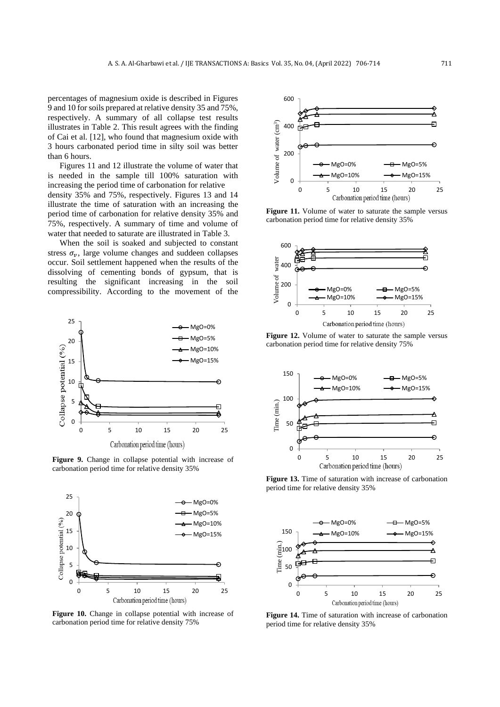percentages of magnesium oxide is described in Figures 9 and 10 for soils prepared at relative density 35 and 75%, respectively. A summary of all collapse test results illustrates in Table 2. This result agrees with the finding of Cai et al. [\[12\]](#page-7-11), who found that magnesium oxide with 3 hours carbonated period time in silty soil was better than 6 hours.

Figures 11 and 12 illustrate the volume of water that is needed in the sample till 100% saturation with increasing the period time of carbonation for relative density 35% and 75%, respectively. Figures 13 and 14 illustrate the time of saturation with an increasing the period time of carbonation for relative density 35% and 75%, respectively. A summary of time and volume of water that needed to saturate are illustrated in Table 3.

When the soil is soaked and subjected to constant stress  $\sigma_v$ , large volume changes and suddeen collapses occur. Soil settlement happened when the results of the dissolving of cementing bonds of gypsum, that is resulting the significant increasing in the soil compressibility. According to the movement of the



**Figure 9.** Change in collapse potential with increase of carbonation period time for relative density 35%



Figure 10. Change in collapse potential with increase of carbonation period time for relative density 75%



Figure 11. Volume of water to saturate the sample versus carbonation period time for relative density 35%



Figure 12. Volume of water to saturate the sample versus carbonation period time for relative density 75%



**Figure 13.** Time of saturation with increase of carbonation period time for relative density 35%



**Figure 14.** Time of saturation with increase of carbonation period time for relative density 35%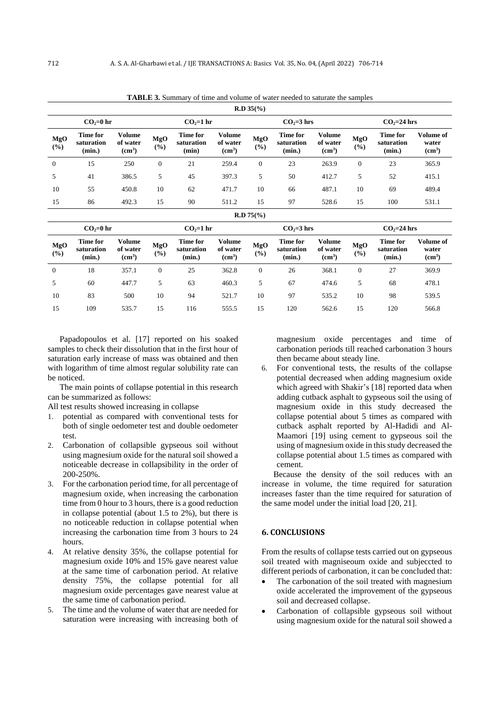**R.D 35(%)**  $CO_2=0$  hr  $CO_2=24$  hrs  $CO_2=24$  hrs  $CO_2=24$  hrs **MgO (%) Time for saturation (min.) Volume of water (cm<sup>3</sup> ) MgO (%) Time for saturation (min) Volume of water (cm<sup>3</sup> ) MgO (%) Time for saturation (min.) Volume of water (cm<sup>3</sup> ) MgO (%) Time for saturation (min.) Volume of water (cm<sup>3</sup> )** 0 15 250 0 21 259.4 0 23 263.9 0 23 365.9 5 41 386.5 5 45 397.3 5 50 412.7 5 52 415.1 10 55 450.8 10 62 471.7 10 66 487.1 10 69 489.4

**TABLE 3.** Summary of time and volume of water needed to saturate the samples

| . .<br>. .<br>"'         | 86 | 492.3 | $\overline{1}$ | $\Omega$<br>70 | $-112$<br>ے۔11ت | $\overline{1}$ | $\sim$ | $\epsilon$ 00<br>ت ق⊔ ہے ت<br>. | $\ddot{\phantom{0}}$ | 100 | - -<br><i></i> |
|--------------------------|----|-------|----------------|----------------|-----------------|----------------|--------|---------------------------------|----------------------|-----|----------------|
| $D 75\frac{6}{6}$<br>K.D |    |       |                |                |                 |                |        |                                 |                      |     |                |

|            | $CO2=0$ hr                       |                                          |               | $CO2=1$ hr                       |                                          |            | $CO2=3$ hrs                      |                                          | $CO2=24$ hrs |                                  |                                          |
|------------|----------------------------------|------------------------------------------|---------------|----------------------------------|------------------------------------------|------------|----------------------------------|------------------------------------------|--------------|----------------------------------|------------------------------------------|
| MgO<br>(%) | Time for<br>saturation<br>(min.) | Volume<br>of water<br>(cm <sup>3</sup> ) | MgO<br>$(\%)$ | Time for<br>saturation<br>(min.) | Volume<br>of water<br>(cm <sup>3</sup> ) | MgO<br>(%) | Time for<br>saturation<br>(min.) | Volume<br>of water<br>(cm <sup>3</sup> ) | MgO<br>(%)   | Time for<br>saturation<br>(min.) | Volume of<br>water<br>(cm <sup>3</sup> ) |
| $\theta$   | 18                               | 357.1                                    | $\mathbf{0}$  | 25                               | 362.8                                    | $\theta$   | 26                               | 368.1                                    |              | 27                               | 369.9                                    |
| 5          | 60                               | 447.7                                    | 5             | 63                               | 460.3                                    | 5          | 67                               | 474.6                                    | 5            | 68                               | 478.1                                    |
| 10         | 83                               | 500                                      | 10            | 94                               | 521.7                                    | 10         | 97                               | 535.2                                    | 10           | 98                               | 539.5                                    |
| 15         | 109                              | 535.7                                    | 15            | 116                              | 555.5                                    | 15         | 120                              | 562.6                                    | 15           | 120                              | 566.8                                    |

Papadopoulos et al. [\[17\]](#page-7-16) reported on his soaked samples to check their dissolution that in the first hour of saturation early increase of mass was obtained and then with logarithm of time almost regular solubility rate can be noticed.

The main points of collapse potential in this research can be summarized as follows:

All test results showed increasing in collapse

- 1. potential as compared with conventional tests for both of single oedometer test and double oedometer test.
- 2. Carbonation of collapsible gypseous soil without using magnesium oxide for the natural soil showed a noticeable decrease in collapsibility in the order of 200-250%.
- 3. For the carbonation period time, for all percentage of magnesium oxide, when increasing the carbonation time from 0 hour to 3 hours, there is a good reduction in collapse potential (about 1.5 to 2%), but there is no noticeable reduction in collapse potential when increasing the carbonation time from 3 hours to 24 hours.
- 4. At relative density 35%, the collapse potential for magnesium oxide 10% and 15% gave nearest value at the same time of carbonation period. At relative density 75%, the collapse potential for all magnesium oxide percentages gave nearest value at the same time of carbonation period.
- 5. The time and the volume of water that are needed for saturation were increasing with increasing both of

magnesium oxide percentages and time of carbonation periods till reached carbonation 3 hours then became about steady line.

6. For conventional tests, the results of the collapse potential decreased when adding magnesium oxide which agreed with Shakir's [\[18\]](#page-7-17) reported data when adding cutback asphalt to gypseous soil the using of magnesium oxide in this study decreased the collapse potential about 5 times as compared with cutback asphalt reported by Al-Hadidi and Al-Maamori [\[19\]](#page-7-18) using cement to gypseous soil the using of magnesium oxide in this study decreased the collapse potential about 1.5 times as compared with cement.

Because the density of the soil reduces with an increase in volume, the time required for saturation increases faster than the time required for saturation of the same model under the initial load [\[20,](#page-7-19) [21\]](#page-7-20).

#### **6. CONCLUSIONS**

From the results of collapse tests carried out on gypseous soil treated with magniseoum oxide and subjeccted to different periods of carbonation, it can be concluded that:

- The carbonation of the soil treated with magnesium oxide accelerated the improvement of the gypseous soil and decreased collapse.
- Carbonation of collapsible gypseous soil without using magnesium oxide for the natural soil showed a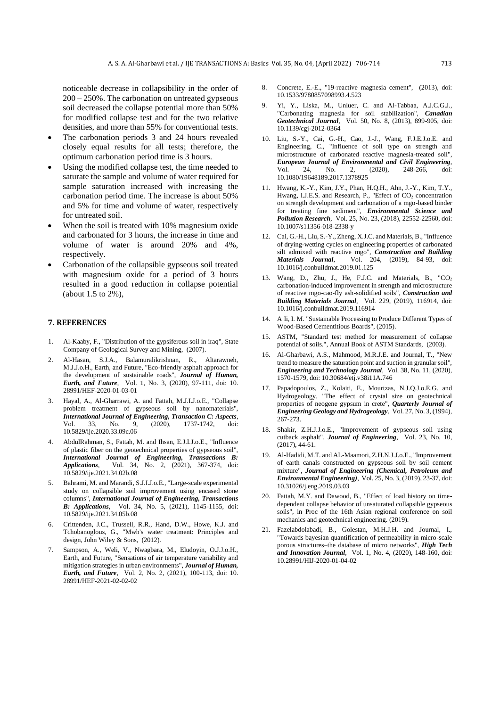noticeable decrease in collapsibility in the order of 200 – 250%. The carbonation on untreated gypseous soil decreased the collapse potential more than 50% for modified collapse test and for the two relative densities, and more than 55% for conventional tests.

- The carbonation periods 3 and 24 hours revealed closely equal results for all tests; therefore, the optimum carbonation period time is 3 hours.
- Using the modified collapse test, the time needed to saturate the sample and volume of water required for sample saturation increased with increasing the carbonation period time. The increase is about 50% and 5% for time and volume of water, respectively for untreated soil.
- When the soil is treated with 10% magnesium oxide and carbonated for 3 hours, the increase in time and volume of water is around 20% and 4%, respectively.
- Carbonation of the collapsible gypseous soil treated with magnesium oxide for a period of 3 hours resulted in a good reduction in collapse potential (about 1.5 to 2%),

#### **7. REFERENCES**

- <span id="page-7-0"></span>1. Al-Kaaby, F., "Distribution of the gypsiferous soil in iraq", State Company of Geological Survey and Mining, (2007).
- <span id="page-7-1"></span>2. Al-Hasan, S.J.A., Balamuralikrishnan, R., Altarawneh, M.J.J.o.H., Earth, and Future, "Eco-friendly asphalt approach for the development of sustainable roads", *Journal of Human, Earth, and Future*, Vol. 1, No. 3, (2020), 97-111, doi: 10. 28991/HEF-2020-01-03-01
- <span id="page-7-2"></span>3. Hayal, A., Al-Gharrawi, A. and Fattah, M.J.I.J.o.E., "Collapse problem treatment of gypseous soil by nanomaterials", *International Journal of Engineering, Transaction C: Aspects*, Vol. 33, No. 9, (2020), 1737-1742, 10.5829/ije.2020.33.09c.06
- <span id="page-7-3"></span>4. AbdulRahman, S., Fattah, M. and Ihsan, E.J.I.J.o.E., "Influence of plastic fiber on the geotechnical properties of gypseous soil", *International Journal of Engineering, Transactions B: Applications*, Vol. 34, No. 2, (2021), 367-374, doi: 10.5829/ije.2021.34.02b.08
- <span id="page-7-4"></span>5. Bahrami, M. and Marandi, S.J.I.J.o.E., "Large-scale experimental study on collapsible soil improvement using encased stone columns", *International Journal of Engineering, Transactions B: Applications*, Vol. 34, No. 5, (2021), 1145-1155, doi: 10.5829/ije.2021.34.05b.08
- <span id="page-7-5"></span>6. Crittenden, J.C., Trussell, R.R., Hand, D.W., Howe, K.J. and Tchobanoglous, G., "Mwh's water treatment: Principles and design, John Wiley & Sons, (2012).
- <span id="page-7-6"></span>7. Sampson, A., Weli, V., Nwagbara, M., Eludoyin, O.J.J.o.H., Earth, and Future, "Sensations of air temperature variability and mitigation strategies in urban environments", *Journal of Human, Earth, and Future*, Vol. 2, No. 2, (2021), 100-113, doi: 10. 28991/HEF-2021-02-02-02
- <span id="page-7-7"></span>8. Concrete, E.-E., "19-reactive magnesia cement", (2013), doi: 10.1533/9780857098993.4.523
- <span id="page-7-8"></span>9. Yi, Y., Liska, M., Unluer, C. and Al-Tabbaa, A.J.C.G.J., "Carbonating magnesia for soil stabilization", *Canadian Geotechnical Journal*, Vol. 50, No. 8, (2013), 899-905, doi: 10.1139/cgj-2012-0364
- <span id="page-7-9"></span>10. Liu, S.-Y., Cai, G.-H., Cao, J.-J., Wang, F.J.E.J.o.E. and Engineering, C., "Influence of soil type on strength and microstructure of carbonated reactive magnesia-treated soil", *European Journal of Environmental and Civil Engineering*,  $2, \t(2020),$ 10.1080/19648189.2017.1378925
- <span id="page-7-10"></span>11. Hwang, K.-Y., Kim, J.Y., Phan, H.Q.H., Ahn, J.-Y., Kim, T.Y., Hwang, I.J.E.S. and Research, P., "Effect of  $CO<sub>2</sub>$  concentration on strength development and carbonation of a mgo-based binder for treating fine sediment", *Environmental Science and Pollution Research*, Vol. 25, No. 23, (2018), 22552-22560, doi: 10.1007/s11356-018-2338-y
- <span id="page-7-11"></span>12. Cai, G.-H., Liu, S.-Y., Zheng, X.J.C. and Materials, B., "Influence of drying-wetting cycles on engineering properties of carbonated silt admixed with reactive mgo", *Construction and Building Materials Journal*, Vol. 204, (2019), 84-93, doi: 10.1016/j.conbuildmat.2019.01.125
- <span id="page-7-12"></span>13. Wang, D., Zhu, J., He, F.J.C. and Materials, B., "CO<sub>2</sub> carbonation-induced improvement in strength and microstructure of reactive mgo-cao-fly ash-solidified soils", *Construction and Building Materials Journal*, Vol. 229, (2019), 116914, doi: 10.1016/j.conbuildmat.2019.116914
- <span id="page-7-13"></span>14. A li, I. M. "Sustainable Processing to Produce Different Types of Wood-Based Cementitious Boards", (2015).
- <span id="page-7-14"></span>15. ASTM, "Standard test method for measurement of collapse potential of soils.", Annual Book of ASTM Standards, (2003).
- <span id="page-7-15"></span>16. Al-Gharbawi, A.S., Mahmood, M.R.J.E. and Journal, T., "New trend to measure the saturation point and suction in granular soil", *Engineering and Technology Journal*, Vol. 38, No. 11, (2020), 1570-1579, doi: 10.30684/etj.v38i11A.746
- <span id="page-7-16"></span>17. Papadopoulos, Z., Kolaiti, E., Mourtzas, N.J.Q.J.o.E.G. and Hydrogeology, "The effect of crystal size on geotechnical properties of neogene gypsum in crete", *Quarterly Journal of Engineering Geology and Hydrogeology*, Vol. 27, No. 3, (1994), 267-273.
- <span id="page-7-17"></span>18. Shakir, Z.H.J.J.o.E., "Improvement of gypseous soil using cutback asphalt", *Journal of Engineering*, Vol. 23, No. 10, (2017), 44-61.
- <span id="page-7-18"></span>19. Al-Hadidi, M.T. and AL-Maamori, Z.H.N.J.J.o.E., "Improvement of earth canals constructed on gypseous soil by soil cement mixture", *Journal of Engineering (Chemical, Petroleum and Environmental Engineering)*, Vol. 25, No. 3, (2019), 23-37, doi: 10.31026/j.eng.2019.03.03
- <span id="page-7-19"></span>20. Fattah, M.Y. and Dawood, B., "Effect of load history on timedependent collapse behavior of unsaturated collapsible gypseous soils", in Proc of the 16th Asian regional conference on soil mechanics and geotechnical engineering. (2019).
- <span id="page-7-20"></span>21. Fazelabdolabadi, B., Golestan, M.H.J.H. and Journal, I., "Towards bayesian quantification of permeability in micro-scale porous structures–the database of micro networks", *High Tech and Innovation Journal*, Vol. 1, No. 4, (2020), 148-160, doi: 10.28991/HIJ-2020-01-04-02